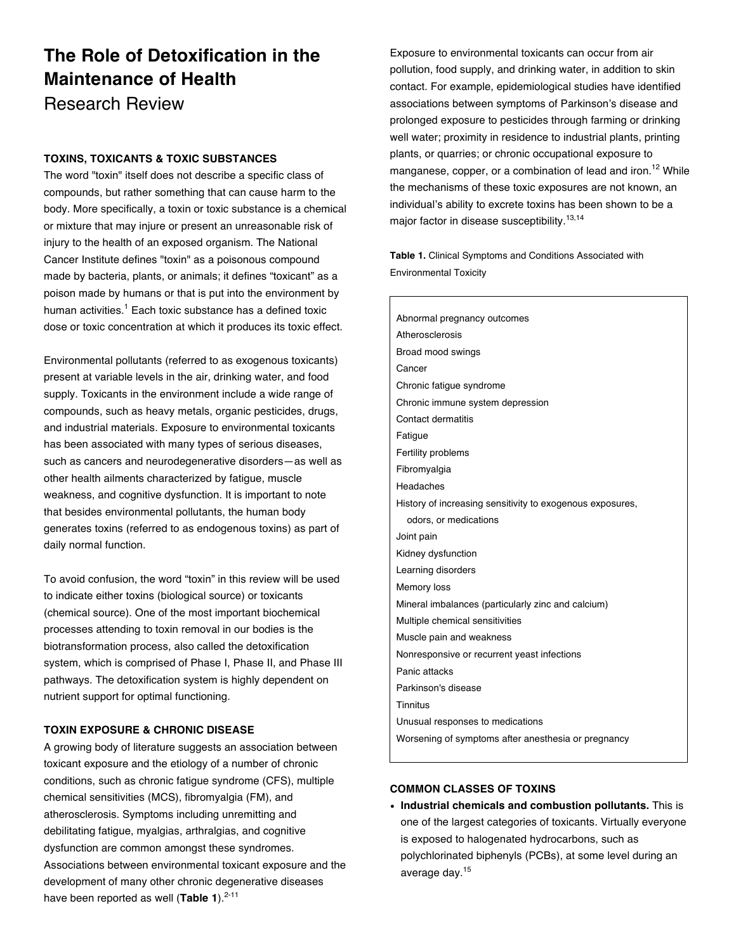# **The Role of Detoxification in the Maintenance of Health** Research Review

## **TOXINS, TOXICANTS & TOXIC SUBSTANCES**

The word "toxin" itself does not describe a specific class of compounds, but rather something that can cause harm to the body. More specifically, a toxin or toxic substance is a chemical or mixture that may injure or present an unreasonable risk of injury to the health of an exposed organism. The National Cancer Institute defines "toxin" as a poisonous compound made by bacteria, plants, or animals; it defines "toxicant" as a poison made by humans or that is put into the environment by human activities.<sup>1</sup> Each toxic substance has a defined toxic dose or toxic concentration at which it produces its toxic effect.

Environmental pollutants (referred to as exogenous toxicants) present at variable levels in the air, drinking water, and food supply. Toxicants in the environment include a wide range of compounds, such as heavy metals, organic pesticides, drugs, and industrial materials. Exposure to environmental toxicants has been associated with many types of serious diseases, such as cancers and neurodegenerative disorders—as well as other health ailments characterized by fatigue, muscle weakness, and cognitive dysfunction. It is important to note that besides environmental pollutants, the human body generates toxins (referred to as endogenous toxins) as part of daily normal function.

To avoid confusion, the word "toxin" in this review will be used to indicate either toxins (biological source) or toxicants (chemical source). One of the most important biochemical processes attending to toxin removal in our bodies is the biotransformation process, also called the detoxification system, which is comprised of Phase I, Phase II, and Phase III pathways. The detoxification system is highly dependent on nutrient support for optimal functioning.

## **TOXIN EXPOSURE & CHRONIC DISEASE**

A growing body of literature suggests an association between toxicant exposure and the etiology of a number of chronic conditions, such as chronic fatigue syndrome (CFS), multiple chemical sensitivities (MCS), fibromyalgia (FM), and atherosclerosis. Symptoms including unremitting and debilitating fatigue, myalgias, arthralgias, and cognitive dysfunction are common amongst these syndromes. Associations between environmental toxicant exposure and the development of many other chronic degenerative diseases have been reported as well (Table 1).<sup>2-11</sup>

Exposure to environmental toxicants can occur from air pollution, food supply, and drinking water, in addition to skin contact. For example, epidemiological studies have identified associations between symptoms of Parkinson's disease and prolonged exposure to pesticides through farming or drinking well water; proximity in residence to industrial plants, printing plants, or quarries; or chronic occupational exposure to manganese, copper, or a combination of lead and iron.<sup>12</sup> While the mechanisms of these toxic exposures are not known, an individual's ability to excrete toxins has been shown to be a major factor in disease susceptibility.13,14

**Table 1.** Clinical Symptoms and Conditions Associated with Environmental Toxicity

Abnormal pregnancy outcomes Atherosclerosis Broad mood swings Cancer Chronic fatigue syndrome Chronic immune system depression Contact dermatitis Fatigue Fertility problems Fibromyalgia Headaches History of increasing sensitivity to exogenous exposures, odors, or medications Joint pain Kidney dysfunction Learning disorders Memory loss Mineral imbalances (particularly zinc and calcium) Multiple chemical sensitivities Muscle pain and weakness Nonresponsive or recurrent yeast infections Panic attacks Parkinson's disease **Tinnitus** Unusual responses to medications Worsening of symptoms after anesthesia or pregnancy

## **COMMON CLASSES OF TOXINS**

• **Industrial chemicals and combustion pollutants.** This is one of the largest categories of toxicants. Virtually everyone is exposed to halogenated hydrocarbons, such as polychlorinated biphenyls (PCBs), at some level during an average day.<sup>15</sup>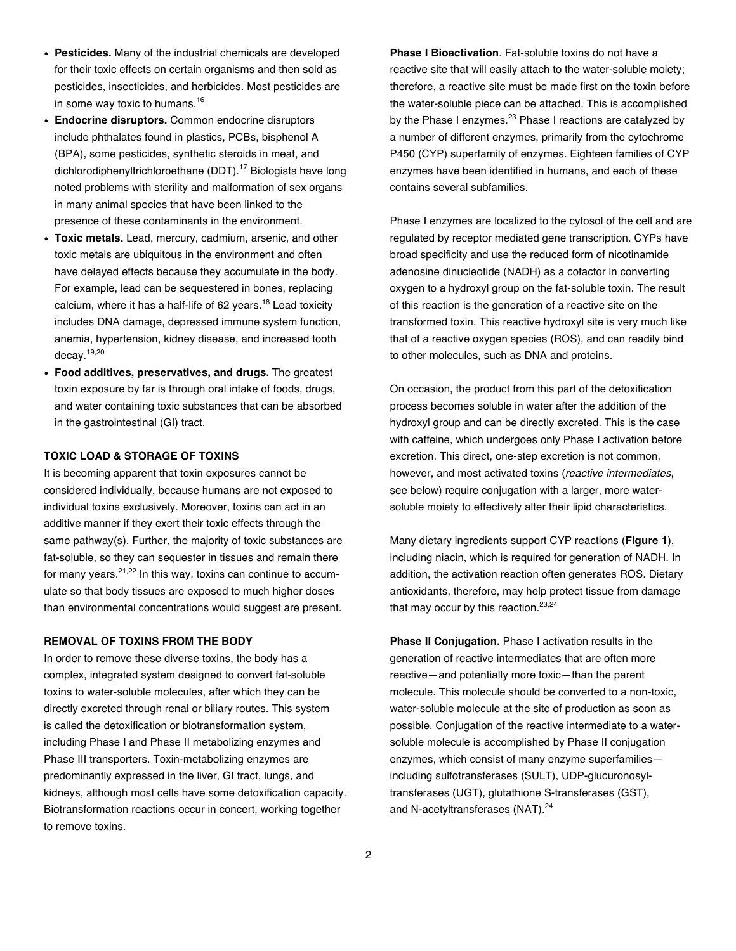- **Pesticides.** Many of the industrial chemicals are developed for their toxic effects on certain organisms and then sold as pesticides, insecticides, and herbicides. Most pesticides are in some way toxic to humans.<sup>16</sup>
- **Endocrine disruptors.** Common endocrine disruptors include phthalates found in plastics, PCBs, bisphenol A (BPA), some pesticides, synthetic steroids in meat, and dichlorodiphenyltrichloroethane (DDT).<sup>17</sup> Biologists have long noted problems with sterility and malformation of sex organs in many animal species that have been linked to the presence of these contaminants in the environment.
- **Toxic metals.** Lead, mercury, cadmium, arsenic, and other toxic metals are ubiquitous in the environment and often have delayed effects because they accumulate in the body. For example, lead can be sequestered in bones, replacing calcium, where it has a half-life of 62 years.<sup>18</sup> Lead toxicity includes DNA damage, depressed immune system function, anemia, hypertension, kidney disease, and increased tooth decay.19,20
- **Food additives, preservatives, and drugs.** The greatest toxin exposure by far is through oral intake of foods, drugs, and water containing toxic substances that can be absorbed in the gastrointestinal (GI) tract.

#### **TOXIC LOAD & STORAGE OF TOXINS**

It is becoming apparent that toxin exposures cannot be considered individually, because humans are not exposed to individual toxins exclusively. Moreover, toxins can act in an additive manner if they exert their toxic effects through the same pathway(s). Further, the majority of toxic substances are fat-soluble, so they can sequester in tissues and remain there for many years. $21,22$  In this way, toxins can continue to accumulate so that body tissues are exposed to much higher doses than environmental concentrations would suggest are present.

#### **REMOVAL OF TOXINS FROM THE BODY**

In order to remove these diverse toxins, the body has a complex, integrated system designed to convert fat-soluble toxins to water-soluble molecules, after which they can be directly excreted through renal or biliary routes. This system is called the detoxification or biotransformation system, including Phase I and Phase II metabolizing enzymes and Phase III transporters. Toxin-metabolizing enzymes are predominantly expressed in the liver, GI tract, lungs, and kidneys, although most cells have some detoxification capacity. Biotransformation reactions occur in concert, working together to remove toxins.

**Phase I Bioactivation**. Fat-soluble toxins do not have a reactive site that will easily attach to the water-soluble moiety; therefore, a reactive site must be made first on the toxin before the water-soluble piece can be attached. This is accomplished by the Phase I enzymes. $^{23}$  Phase I reactions are catalyzed by a number of different enzymes, primarily from the cytochrome P450 (CYP) superfamily of enzymes. Eighteen families of CYP enzymes have been identified in humans, and each of these contains several subfamilies.

Phase I enzymes are localized to the cytosol of the cell and are regulated by receptor mediated gene transcription. CYPs have broad specificity and use the reduced form of nicotinamide adenosine dinucleotide (NADH) as a cofactor in converting oxygen to a hydroxyl group on the fat-soluble toxin. The result of this reaction is the generation of a reactive site on the transformed toxin. This reactive hydroxyl site is very much like that of a reactive oxygen species (ROS), and can readily bind to other molecules, such as DNA and proteins.

On occasion, the product from this part of the detoxification process becomes soluble in water after the addition of the hydroxyl group and can be directly excreted. This is the case with caffeine, which undergoes only Phase I activation before excretion. This direct, one-step excretion is not common, however, and most activated toxins (*reactive intermediates*, see below) require conjugation with a larger, more watersoluble moiety to effectively alter their lipid characteristics.

Many dietary ingredients support CYP reactions (**Figure 1**), including niacin, which is required for generation of NADH. In addition, the activation reaction often generates ROS. Dietary antioxidants, therefore, may help protect tissue from damage that may occur by this reaction. $23,24$ 

**Phase II Conjugation.** Phase I activation results in the generation of reactive intermediates that are often more reactive—and potentially more toxic—than the parent molecule. This molecule should be converted to a non-toxic, water-soluble molecule at the site of production as soon as possible. Conjugation of the reactive intermediate to a watersoluble molecule is accomplished by Phase II conjugation enzymes, which consist of many enzyme superfamilies including sulfotransferases (SULT), UDP-glucuronosyltransferases (UGT), glutathione S-transferases (GST), and N-acetyltransferases (NAT).<sup>24</sup>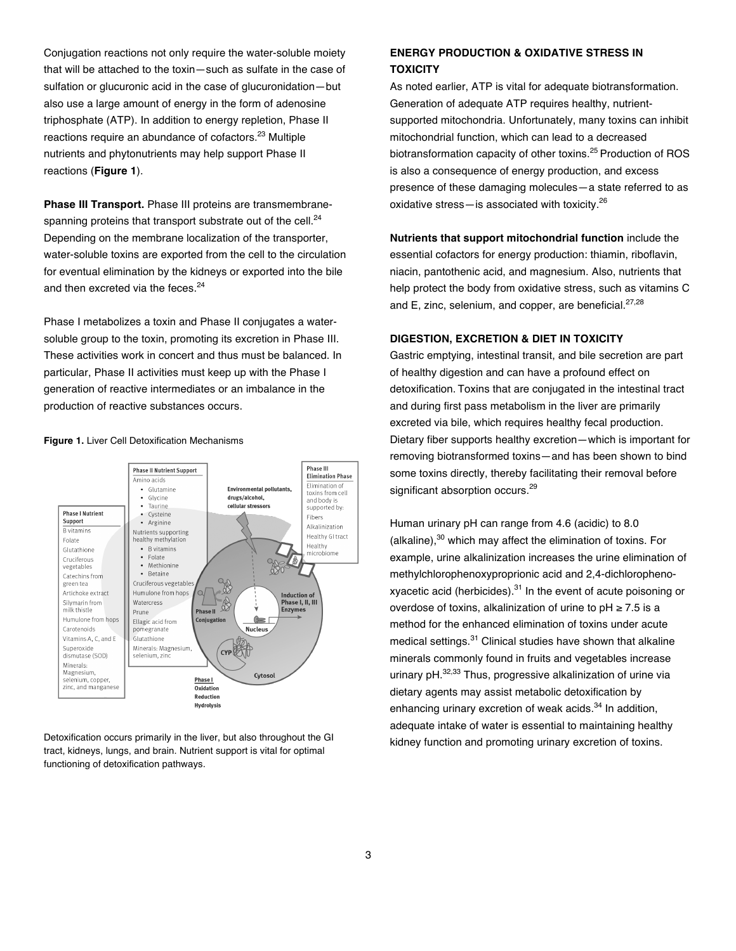Conjugation reactions not only require the water-soluble moiety that will be attached to the toxin—such as sulfate in the case of sulfation or glucuronic acid in the case of glucuronidation—but also use a large amount of energy in the form of adenosine triphosphate (ATP). In addition to energy repletion, Phase II reactions require an abundance of cofactors.<sup>23</sup> Multiple nutrients and phytonutrients may help support Phase II reactions (**Figure 1**).

**Phase III Transport.** Phase III proteins are transmembranespanning proteins that transport substrate out of the cell.<sup>24</sup> Depending on the membrane localization of the transporter, water-soluble toxins are exported from the cell to the circulation for eventual elimination by the kidneys or exported into the bile and then excreted via the feces.<sup>24</sup>

Phase I metabolizes a toxin and Phase II conjugates a watersoluble group to the toxin, promoting its excretion in Phase III. These activities work in concert and thus must be balanced. In particular, Phase II activities must keep up with the Phase I generation of reactive intermediates or an imbalance in the production of reactive substances occurs.





Detoxification occurs primarily in the liver, but also throughout the GI tract, kidneys, lungs, and brain. Nutrient support is vital for optimal functioning of detoxification pathways.

# **ENERGY PRODUCTION & OXIDATIVE STRESS IN TOXICITY**

As noted earlier, ATP is vital for adequate biotransformation. Generation of adequate ATP requires healthy, nutrientsupported mitochondria. Unfortunately, many toxins can inhibit mitochondrial function, which can lead to a decreased biotransformation capacity of other toxins.<sup>25</sup> Production of ROS is also a consequence of energy production, and excess presence of these damaging molecules—a state referred to as oxidative stress—is associated with toxicity.<sup>26</sup>

**Nutrients that support mitochondrial function** include the essential cofactors for energy production: thiamin, riboflavin, niacin, pantothenic acid, and magnesium. Also, nutrients that help protect the body from oxidative stress, such as vitamins C and E, zinc, selenium, and copper, are beneficial.<sup>27,28</sup>

#### **DIGESTION, EXCRETION & DIET IN TOXICITY**

Gastric emptying, intestinal transit, and bile secretion are part of healthy digestion and can have a profound effect on detoxification. Toxins that are conjugated in the intestinal tract and during first pass metabolism in the liver are primarily excreted via bile, which requires healthy fecal production. Dietary fiber supports healthy excretion—which is important for removing biotransformed toxins—and has been shown to bind some toxins directly, thereby facilitating their removal before significant absorption occurs.<sup>29</sup>

Human urinary pH can range from 4.6 (acidic) to 8.0 (alkaline), $30$  which may affect the elimination of toxins. For example, urine alkalinization increases the urine elimination of methylchlorophenoxyproprionic acid and 2,4-dichlorophenoxyacetic acid (herbicides). <sup>31</sup> In the event of acute poisoning or overdose of toxins, alkalinization of urine to pH ≥ 7.5 is a method for the enhanced elimination of toxins under acute medical settings.<sup>31</sup> Clinical studies have shown that alkaline minerals commonly found in fruits and vegetables increase urinary pH.<sup>32,33</sup> Thus, progressive alkalinization of urine via dietary agents may assist metabolic detoxification by enhancing urinary excretion of weak acids.<sup>34</sup> In addition, adequate intake of water is essential to maintaining healthy kidney function and promoting urinary excretion of toxins.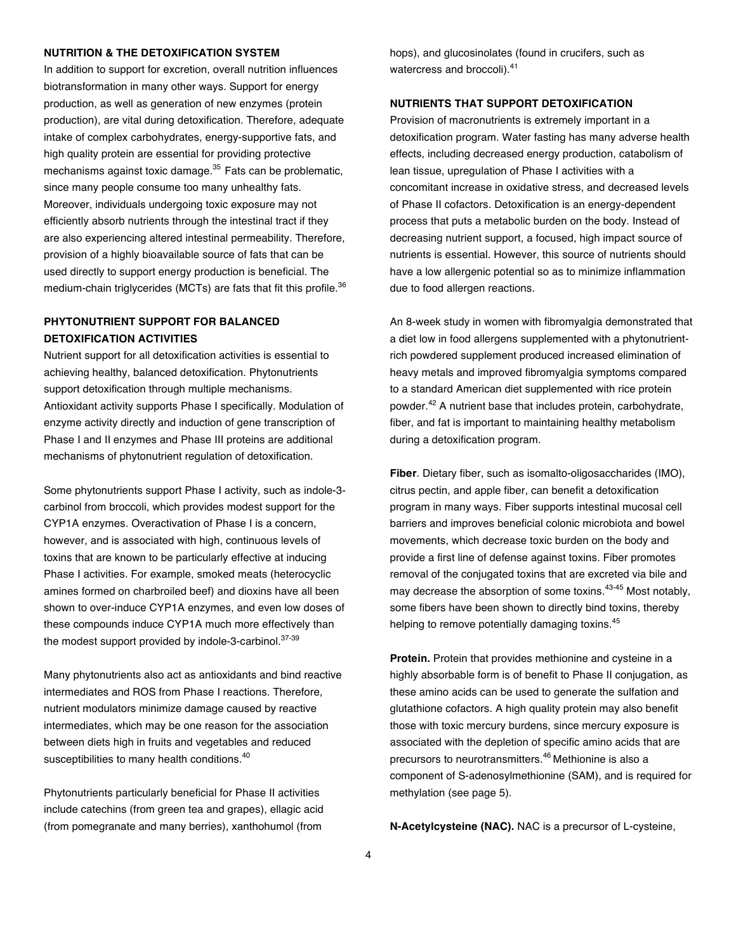## **NUTRITION & THE DETOXIFICATION SYSTEM**

In addition to support for excretion, overall nutrition influences biotransformation in many other ways. Support for energy production, as well as generation of new enzymes (protein production), are vital during detoxification. Therefore, adequate intake of complex carbohydrates, energy-supportive fats, and high quality protein are essential for providing protective mechanisms against toxic damage.<sup>35</sup> Fats can be problematic, since many people consume too many unhealthy fats. Moreover, individuals undergoing toxic exposure may not efficiently absorb nutrients through the intestinal tract if they are also experiencing altered intestinal permeability. Therefore, provision of a highly bioavailable source of fats that can be used directly to support energy production is beneficial. The medium-chain triglycerides (MCTs) are fats that fit this profile.<sup>36</sup>

## **PHYTONUTRIENT SUPPORT FOR BALANCED DETOXIFICATION ACTIVITIES**

Nutrient support for all detoxification activities is essential to achieving healthy, balanced detoxification. Phytonutrients support detoxification through multiple mechanisms. Antioxidant activity supports Phase I specifically. Modulation of enzyme activity directly and induction of gene transcription of Phase I and II enzymes and Phase III proteins are additional mechanisms of phytonutrient regulation of detoxification.

Some phytonutrients support Phase I activity, such as indole-3 carbinol from broccoli, which provides modest support for the CYP1A enzymes. Overactivation of Phase I is a concern, however, and is associated with high, continuous levels of toxins that are known to be particularly effective at inducing Phase I activities. For example, smoked meats (heterocyclic amines formed on charbroiled beef) and dioxins have all been shown to over-induce CYP1A enzymes, and even low doses of these compounds induce CYP1A much more effectively than the modest support provided by indole-3-carbinol. $37-39$ 

Many phytonutrients also act as antioxidants and bind reactive intermediates and ROS from Phase I reactions. Therefore, nutrient modulators minimize damage caused by reactive intermediates, which may be one reason for the association between diets high in fruits and vegetables and reduced susceptibilities to many health conditions.<sup>40</sup>

Phytonutrients particularly beneficial for Phase II activities include catechins (from green tea and grapes), ellagic acid (from pomegranate and many berries), xanthohumol (from

hops), and glucosinolates (found in crucifers, such as watercress and broccoli).<sup>41</sup>

## **NUTRIENTS THAT SUPPORT DETOXIFICATION**

Provision of macronutrients is extremely important in a detoxification program. Water fasting has many adverse health effects, including decreased energy production, catabolism of lean tissue, upregulation of Phase I activities with a concomitant increase in oxidative stress, and decreased levels of Phase II cofactors. Detoxification is an energy-dependent process that puts a metabolic burden on the body. Instead of decreasing nutrient support, a focused, high impact source of nutrients is essential. However, this source of nutrients should have a low allergenic potential so as to minimize inflammation due to food allergen reactions.

An 8-week study in women with fibromyalgia demonstrated that a diet low in food allergens supplemented with a phytonutrientrich powdered supplement produced increased elimination of heavy metals and improved fibromyalgia symptoms compared to a standard American diet supplemented with rice protein powder.<sup>42</sup> A nutrient base that includes protein, carbohydrate, fiber, and fat is important to maintaining healthy metabolism during a detoxification program.

**Fiber**. Dietary fiber, such as isomalto-oligosaccharides (IMO), citrus pectin, and apple fiber, can benefit a detoxification program in many ways. Fiber supports intestinal mucosal cell barriers and improves beneficial colonic microbiota and bowel movements, which decrease toxic burden on the body and provide a first line of defense against toxins. Fiber promotes removal of the conjugated toxins that are excreted via bile and may decrease the absorption of some toxins.<sup>43-45</sup> Most notably, some fibers have been shown to directly bind toxins, thereby helping to remove potentially damaging toxins.<sup>45</sup>

**Protein.** Protein that provides methionine and cysteine in a highly absorbable form is of benefit to Phase II conjugation, as these amino acids can be used to generate the sulfation and glutathione cofactors. A high quality protein may also benefit those with toxic mercury burdens, since mercury exposure is associated with the depletion of specific amino acids that are precursors to neurotransmitters.<sup>46</sup> Methionine is also a component of S-adenosylmethionine (SAM), and is required for methylation (see page 5).

**N-Acetylcysteine (NAC).** NAC is a precursor of L-cysteine,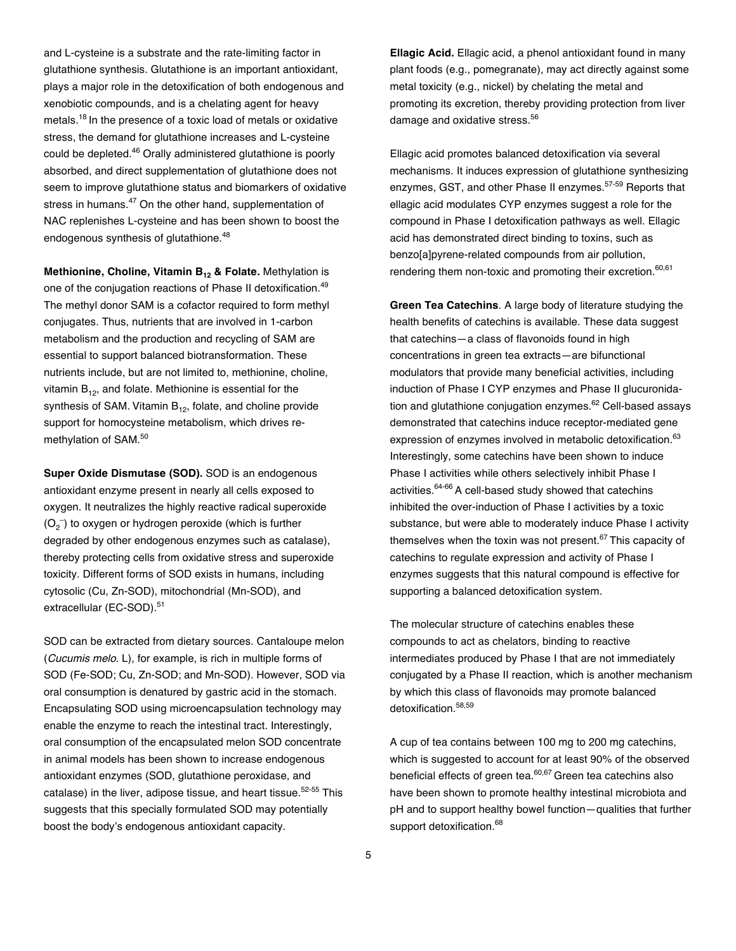and L-cysteine is a substrate and the rate-limiting factor in glutathione synthesis. Glutathione is an important antioxidant, plays a major role in the detoxification of both endogenous and xenobiotic compounds, and is a chelating agent for heavy metals.<sup>18</sup> In the presence of a toxic load of metals or oxidative stress, the demand for glutathione increases and L-cysteine could be depleted.<sup>46</sup> Orally administered glutathione is poorly absorbed, and direct supplementation of glutathione does not seem to improve glutathione status and biomarkers of oxidative stress in humans.<sup>47</sup> On the other hand, supplementation of NAC replenishes L-cysteine and has been shown to boost the endogenous synthesis of glutathione.<sup>48</sup>

**Methionine, Choline, Vitamin B<sub>12</sub> & Folate.** Methylation is one of the conjugation reactions of Phase II detoxification.<sup>49</sup> The methyl donor SAM is a cofactor required to form methyl conjugates. Thus, nutrients that are involved in 1-carbon metabolism and the production and recycling of SAM are essential to support balanced biotransformation. These nutrients include, but are not limited to, methionine, choline, vitamin  $B_{12}$ , and folate. Methionine is essential for the synthesis of SAM. Vitamin  $B_{12}$ , folate, and choline provide support for homocysteine metabolism, which drives remethylation of SAM. 50

**Super Oxide Dismutase (SOD).** SOD is an endogenous antioxidant enzyme present in nearly all cells exposed to oxygen. It neutralizes the highly reactive radical superoxide  $(O_2^-)$  to oxygen or hydrogen peroxide (which is further degraded by other endogenous enzymes such as catalase), thereby protecting cells from oxidative stress and superoxide toxicity. Different forms of SOD exists in humans, including cytosolic (Cu, Zn-SOD), mitochondrial (Mn-SOD), and extracellular (EC-SOD). 51

SOD can be extracted from dietary sources. Cantaloupe melon (*Cucumis melo*. L), for example, is rich in multiple forms of SOD (Fe-SOD; Cu, Zn-SOD; and Mn-SOD). However, SOD via oral consumption is denatured by gastric acid in the stomach. Encapsulating SOD using microencapsulation technology may enable the enzyme to reach the intestinal tract. Interestingly, oral consumption of the encapsulated melon SOD concentrate in animal models has been shown to increase endogenous antioxidant enzymes (SOD, glutathione peroxidase, and catalase) in the liver, adipose tissue, and heart tissue.<sup>52-55</sup> This suggests that this specially formulated SOD may potentially boost the body's endogenous antioxidant capacity.

**Ellagic Acid.** Ellagic acid, a phenol antioxidant found in many plant foods (e.g., pomegranate), may act directly against some metal toxicity (e.g., nickel) by chelating the metal and promoting its excretion, thereby providing protection from liver damage and oxidative stress.<sup>56</sup>

Ellagic acid promotes balanced detoxification via several mechanisms. It induces expression of glutathione synthesizing enzymes, GST, and other Phase II enzymes.<sup>57-59</sup> Reports that ellagic acid modulates CYP enzymes suggest a role for the compound in Phase I detoxification pathways as well. Ellagic acid has demonstrated direct binding to toxins, such as benzo[a]pyrene-related compounds from air pollution, rendering them non-toxic and promoting their excretion.<sup>60,61</sup>

**Green Tea Catechins**. A large body of literature studying the health benefits of catechins is available. These data suggest that catechins—a class of flavonoids found in high concentrations in green tea extracts—are bifunctional modulators that provide many beneficial activities, including induction of Phase I CYP enzymes and Phase II glucuronidation and glutathione conjugation enzymes.<sup>62</sup> Cell-based assavs demonstrated that catechins induce receptor-mediated gene expression of enzymes involved in metabolic detoxification.<sup>63</sup> Interestingly, some catechins have been shown to induce Phase I activities while others selectively inhibit Phase I activities.<sup>64-66</sup> A cell-based study showed that catechins inhibited the over-induction of Phase I activities by a toxic substance, but were able to moderately induce Phase I activity themselves when the toxin was not present.<sup>67</sup> This capacity of catechins to regulate expression and activity of Phase I enzymes suggests that this natural compound is effective for supporting a balanced detoxification system.

The molecular structure of catechins enables these compounds to act as chelators, binding to reactive intermediates produced by Phase I that are not immediately conjugated by a Phase II reaction, which is another mechanism by which this class of flavonoids may promote balanced detoxification.<sup>58,59</sup>

A cup of tea contains between 100 mg to 200 mg catechins, which is suggested to account for at least 90% of the observed beneficial effects of green tea.<sup>60,67</sup> Green tea catechins also have been shown to promote healthy intestinal microbiota and pH and to support healthy bowel function—qualities that further support detoxification.<sup>68</sup>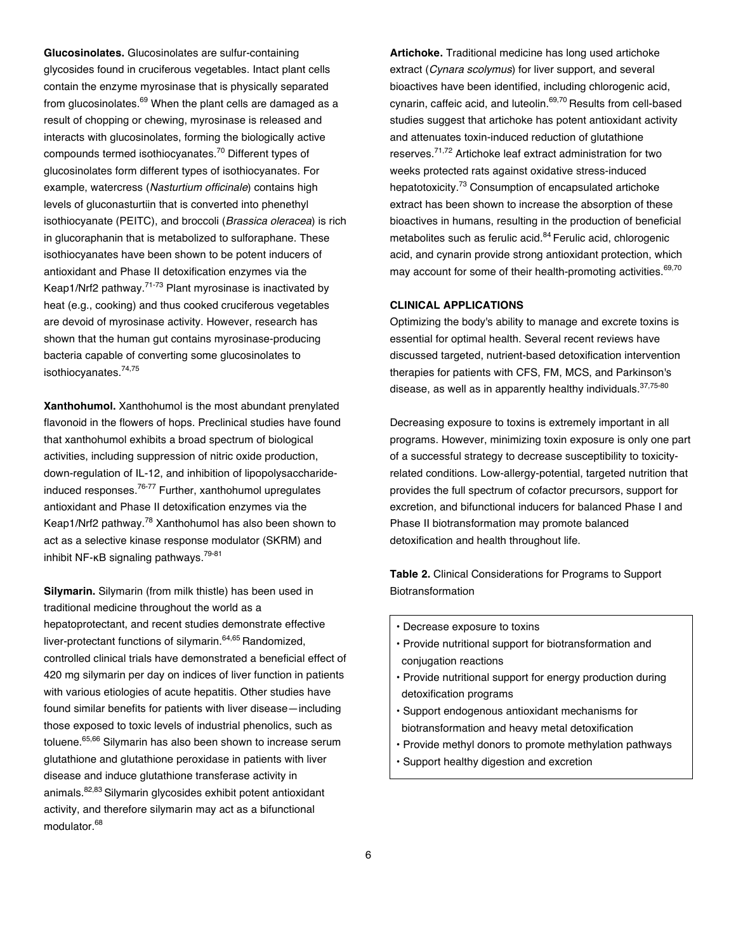**Glucosinolates.** Glucosinolates are sulfur-containing glycosides found in cruciferous vegetables. Intact plant cells contain the enzyme myrosinase that is physically separated from glucosinolates. $69$  When the plant cells are damaged as a result of chopping or chewing, myrosinase is released and interacts with glucosinolates, forming the biologically active compounds termed isothiocyanates.<sup>70</sup> Different types of glucosinolates form different types of isothiocyanates. For example, watercress (*Nasturtium officinale*) contains high levels of gluconasturtiin that is converted into phenethyl isothiocyanate (PEITC), and broccoli (*Brassica oleracea*) is rich in glucoraphanin that is metabolized to sulforaphane. These isothiocyanates have been shown to be potent inducers of antioxidant and Phase II detoxification enzymes via the Keap1/Nrf2 pathway.71-73 Plant myrosinase is inactivated by heat (e.g., cooking) and thus cooked cruciferous vegetables are devoid of myrosinase activity. However, research has shown that the human gut contains myrosinase-producing bacteria capable of converting some glucosinolates to isothiocyanates. 74,75

**Xanthohumol.** Xanthohumol is the most abundant prenylated flavonoid in the flowers of hops. Preclinical studies have found that xanthohumol exhibits a broad spectrum of biological activities, including suppression of nitric oxide production, down-regulation of IL-12, and inhibition of lipopolysaccharideinduced responses.76-77 Further, xanthohumol upregulates antioxidant and Phase II detoxification enzymes via the Keap1/Nrf2 pathway.<sup>78</sup> Xanthohumol has also been shown to act as a selective kinase response modulator (SKRM) and inhibit NF-κB signaling pathways.<sup>79-81</sup>

**Silymarin.** Silymarin (from milk thistle) has been used in traditional medicine throughout the world as a hepatoprotectant, and recent studies demonstrate effective liver-protectant functions of silymarin.<sup>64,65</sup> Randomized, controlled clinical trials have demonstrated a beneficial effect of 420 mg silymarin per day on indices of liver function in patients with various etiologies of acute hepatitis. Other studies have found similar benefits for patients with liver disease—including those exposed to toxic levels of industrial phenolics, such as toluene.65,66 Silymarin has also been shown to increase serum glutathione and glutathione peroxidase in patients with liver disease and induce glutathione transferase activity in animals.<sup>82,83</sup> Silymarin glycosides exhibit potent antioxidant activity, and therefore silymarin may act as a bifunctional modulator.<sup>68</sup>

**Artichoke.** Traditional medicine has long used artichoke extract (*Cynara scolymus*) for liver support, and several bioactives have been identified, including chlorogenic acid, cynarin, caffeic acid, and luteolin.<sup>69,70</sup> Results from cell-based studies suggest that artichoke has potent antioxidant activity and attenuates toxin-induced reduction of glutathione reserves.71,72 Artichoke leaf extract administration for two weeks protected rats against oxidative stress-induced hepatotoxicity.<sup>73</sup> Consumption of encapsulated artichoke extract has been shown to increase the absorption of these bioactives in humans, resulting in the production of beneficial metabolites such as ferulic acid.<sup>84</sup> Ferulic acid, chlorogenic acid, and cynarin provide strong antioxidant protection, which may account for some of their health-promoting activities.<sup>69,70</sup>

## **CLINICAL APPLICATIONS**

Optimizing the body's ability to manage and excrete toxins is essential for optimal health. Several recent reviews have discussed targeted, nutrient-based detoxification intervention therapies for patients with CFS, FM, MCS, and Parkinson's disease, as well as in apparently healthy individuals. 37,75-80

Decreasing exposure to toxins is extremely important in all programs. However, minimizing toxin exposure is only one part of a successful strategy to decrease susceptibility to toxicityrelated conditions. Low-allergy-potential, targeted nutrition that provides the full spectrum of cofactor precursors, support for excretion, and bifunctional inducers for balanced Phase I and Phase II biotransformation may promote balanced detoxification and health throughout life.

**Table 2.** Clinical Considerations for Programs to Support **Biotransformation** 

- Decrease exposure to toxins
- Provide nutritional support for biotransformation and conjugation reactions
- Provide nutritional support for energy production during detoxification programs
- Support endogenous antioxidant mechanisms for biotransformation and heavy metal detoxification
- Provide methyl donors to promote methylation pathways
- Support healthy digestion and excretion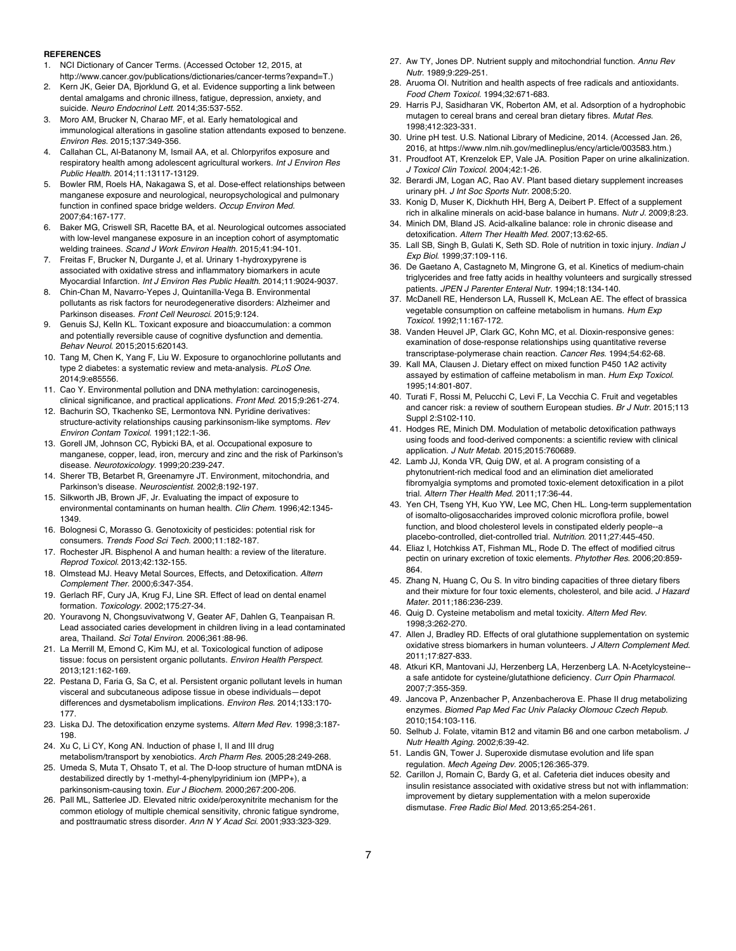#### **REFERENCES**

- 1. NCI Dictionary of Cancer Terms. (Accessed October 12, 2015, at http://www.cancer.gov/publications/dictionaries/cancer-terms?expand=T.)
- Kern JK, Geier DA, Bjorklund G, et al. Evidence supporting a link between dental amalgams and chronic illness, fatigue, depression, anxiety, and suicide. *Neuro Endocrinol Lett*. 2014;35:537-552.
- 3. Moro AM, Brucker N, Charao MF, et al. Early hematological and immunological alterations in gasoline station attendants exposed to benzene. *Environ Res*. 2015;137:349-356.
- 4. Callahan CL, Al-Batanony M, Ismail AA, et al. Chlorpyrifos exposure and respiratory health among adolescent agricultural workers. *Int J Environ Res Public Health*. 2014;11:13117-13129.
- 5. Bowler RM, Roels HA, Nakagawa S, et al. Dose-effect relationships between manganese exposure and neurological, neuropsychological and pulmonary function in confined space bridge welders. *Occup Environ Med*. 2007;64:167-177.
- 6. Baker MG, Criswell SR, Racette BA, et al. Neurological outcomes associated with low-level manganese exposure in an inception cohort of asymptomatic welding trainees. *Scand J Work Environ Health*. 2015;41:94-101.
- 7. Freitas F, Brucker N, Durgante J, et al. Urinary 1-hydroxypyrene is associated with oxidative stress and inflammatory biomarkers in acute Myocardial Infarction. *Int J Environ Res Public Health*. 2014;11:9024-9037.
- 8. Chin-Chan M, Navarro-Yepes J, Quintanilla-Vega B. Environmental pollutants as risk factors for neurodegenerative disorders: Alzheimer and Parkinson diseases. *Front Cell Neurosci*. 2015;9:124.
- 9. Genuis SJ, Kelln KL. Toxicant exposure and bioaccumulation: a common and potentially reversible cause of cognitive dysfunction and dementia. *Behav Neurol*. 2015;2015:620143.
- 10. Tang M, Chen K, Yang F, Liu W. Exposure to organochlorine pollutants and type 2 diabetes: a systematic review and meta-analysis. *PLoS One*. 2014;9:e85556.
- 11. Cao Y. Environmental pollution and DNA methylation: carcinogenesis, clinical significance, and practical applications. *Front Med*. 2015;9:261-274.
- 12. Bachurin SO, Tkachenko SE, Lermontova NN. Pyridine derivatives: structure-activity relationships causing parkinsonism-like symptoms. *Rev Environ Contam Toxicol*. 1991;122:1-36.
- 13. Gorell JM, Johnson CC, Rybicki BA, et al. Occupational exposure to manganese, copper, lead, iron, mercury and zinc and the risk of Parkinson's disease. *Neurotoxicology*. 1999;20:239-247.
- 14. Sherer TB, Betarbet R, Greenamyre JT. Environment, mitochondria, and Parkinson's disease. *Neuroscientist*. 2002;8:192-197.
- 15. Silkworth JB, Brown JF, Jr. Evaluating the impact of exposure to environmental contaminants on human health. *Clin Chem*. 1996;42:1345- 1349.
- 16. Bolognesi C, Morasso G. Genotoxicity of pesticides: potential risk for consumers. *Trends Food Sci Tech*. 2000;11:182-187.
- 17. Rochester JR. Bisphenol A and human health: a review of the literature. *Reprod Toxicol*. 2013;42:132-155.
- 18. Olmstead MJ. Heavy Metal Sources, Effects, and Detoxification. *Altern Complement Ther*. 2000;6:347-354.
- 19. Gerlach RF, Cury JA, Krug FJ, Line SR. Effect of lead on dental enamel formation. *Toxicology*. 2002;175:27-34.
- 20. Youravong N, Chongsuvivatwong V, Geater AF, Dahlen G, Teanpaisan R. Lead associated caries development in children living in a lead contaminated area, Thailand. *Sci Total Environ*. 2006;361:88-96.
- 21. La Merrill M, Emond C, Kim MJ, et al. Toxicological function of adipose tissue: focus on persistent organic pollutants. *Environ Health Perspect*. 2013;121:162-169.
- 22. Pestana D, Faria G, Sa C, et al. Persistent organic pollutant levels in human visceral and subcutaneous adipose tissue in obese individuals—depot differences and dysmetabolism implications. *Environ Res*. 2014;133:170- 177.
- 23. Liska DJ. The detoxification enzyme systems. *Altern Med Rev*. 1998;3:187- 198.
- 24. Xu C, Li CY, Kong AN. Induction of phase I, II and III drug metabolism/transport by xenobiotics. *Arch Pharm Res*. 2005;28:249-268.
- 25. Umeda S, Muta T, Ohsato T, et al. The D-loop structure of human mtDNA is destabilized directly by 1-methyl-4-phenylpyridinium ion (MPP+), a parkinsonism-causing toxin. *Eur J Biochem*. 2000;267:200-206.
- 26. Pall ML, Satterlee JD. Elevated nitric oxide/peroxynitrite mechanism for the common etiology of multiple chemical sensitivity, chronic fatigue syndrome, and posttraumatic stress disorder. *Ann N Y Acad Sci*. 2001;933:323-329.
- 27. Aw TY, Jones DP. Nutrient supply and mitochondrial function. *Annu Rev Nutr*. 1989;9:229-251.
- 28. Aruoma OI. Nutrition and health aspects of free radicals and antioxidants. *Food Chem Toxicol*. 1994;32:671-683.
- 29. Harris PJ, Sasidharan VK, Roberton AM, et al. Adsorption of a hydrophobic mutagen to cereal brans and cereal bran dietary fibres. *Mutat Res*. 1998;412:323-331.
- 30. Urine pH test. U.S. National Library of Medicine, 2014. (Accessed Jan. 26, 2016, at https://www.nlm.nih.gov/medlineplus/ency/article/003583.htm.)
- 31. Proudfoot AT, Krenzelok EP, Vale JA. Position Paper on urine alkalinization. *J Toxicol Clin Toxicol*. 2004;42:1-26.
- 32. Berardi JM, Logan AC, Rao AV. Plant based dietary supplement increases urinary pH. *J Int Soc Sports Nutr*. 2008;5:20.
- 33. Konig D, Muser K, Dickhuth HH, Berg A, Deibert P. Effect of a supplement rich in alkaline minerals on acid-base balance in humans. *Nutr J*. 2009;8:23.
- 34. Minich DM, Bland JS. Acid-alkaline balance: role in chronic disease and detoxification. *Altern Ther Health Med*. 2007;13:62-65.
- 35. Lall SB, Singh B, Gulati K, Seth SD. Role of nutrition in toxic injury. *Indian J Exp Biol*. 1999;37:109-116.
- 36. De Gaetano A, Castagneto M, Mingrone G, et al. Kinetics of medium-chain triglycerides and free fatty acids in healthy volunteers and surgically stressed patients. *JPEN J Parenter Enteral Nutr*. 1994;18:134-140.
- 37. McDanell RE, Henderson LA, Russell K, McLean AE. The effect of brassica vegetable consumption on caffeine metabolism in humans. *Hum Exp Toxicol*. 1992;11:167-172.
- 38. Vanden Heuvel JP, Clark GC, Kohn MC, et al. Dioxin-responsive genes: examination of dose-response relationships using quantitative reverse transcriptase-polymerase chain reaction. *Cancer Res*. 1994;54:62-68.
- 39. Kall MA, Clausen J. Dietary effect on mixed function P450 1A2 activity assayed by estimation of caffeine metabolism in man. *Hum Exp Toxicol*. 1995;14:801-807.
- 40. Turati F, Rossi M, Pelucchi C, Levi F, La Vecchia C. Fruit and vegetables and cancer risk: a review of southern European studies. *Br J Nutr*. 2015;113 Suppl 2:S102-110.
- 41. Hodges RE, Minich DM. Modulation of metabolic detoxification pathways using foods and food-derived components: a scientific review with clinical application. *J Nutr Metab*. 2015;2015:760689.
- 42. Lamb JJ, Konda VR, Quig DW, et al. A program consisting of a phytonutrient-rich medical food and an elimination diet ameliorated fibromyalgia symptoms and promoted toxic-element detoxification in a pilot trial. *Altern Ther Health Med*. 2011;17:36-44.
- 43. Yen CH, Tseng YH, Kuo YW, Lee MC, Chen HL. Long-term supplementation of isomalto-oligosaccharides improved colonic microflora profile, bowel function, and blood cholesterol levels in constipated elderly people--a placebo-controlled, diet-controlled trial. *Nutrition*. 2011;27:445-450.
- 44. Eliaz I, Hotchkiss AT, Fishman ML, Rode D. The effect of modified citrus pectin on urinary excretion of toxic elements. *Phytother Res*. 2006;20:859- 864.
- 45. Zhang N, Huang C, Ou S. In vitro binding capacities of three dietary fibers and their mixture for four toxic elements, cholesterol, and bile acid. *J Hazard Mater*. 2011;186:236-239.
- 46. Quig D. Cysteine metabolism and metal toxicity. *Altern Med Rev*. 1998;3:262-270.
- 47. Allen J, Bradley RD. Effects of oral glutathione supplementation on systemic oxidative stress biomarkers in human volunteers. *J Altern Complement Med*. 2011;17:827-833.
- 48. Atkuri KR, Mantovani JJ, Herzenberg LA, Herzenberg LA. N-Acetylcysteine- a safe antidote for cysteine/glutathione deficiency. *Curr Opin Pharmacol*. 2007;7:355-359.
- 49. Jancova P, Anzenbacher P, Anzenbacherova E. Phase II drug metabolizing enzymes. *Biomed Pap Med Fac Univ Palacky Olomouc Czech Repub*. 2010;154:103-116.
- 50. Selhub J. Folate, vitamin B12 and vitamin B6 and one carbon metabolism. *J Nutr Health Aging*. 2002;6:39-42.
- 51. Landis GN, Tower J. Superoxide dismutase evolution and life span regulation. *Mech Ageing Dev*. 2005;126:365-379.
- 52. Carillon J, Romain C, Bardy G, et al. Cafeteria diet induces obesity and insulin resistance associated with oxidative stress but not with inflammation: improvement by dietary supplementation with a melon superoxide dismutase. *Free Radic Biol Med*. 2013;65:254-261.